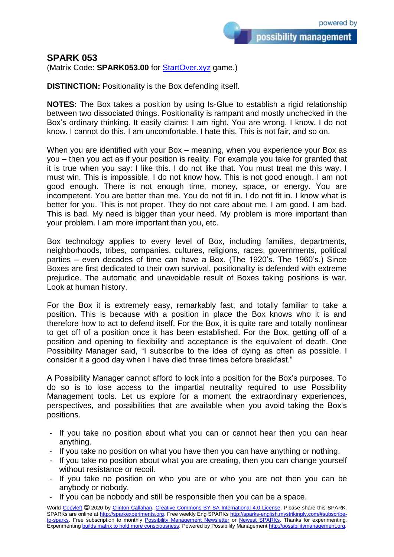possibility management

**SPARK 053**

(Matrix Code: **SPARK053.00** for **StartOver.xyz** game.)

**DISTINCTION:** Positionality is the Box defending itself.

**NOTES:** The Box takes a position by using Is-Glue to establish a rigid relationship between two dissociated things. Positionality is rampant and mostly unchecked in the Box's ordinary thinking. It easily claims: I am right. You are wrong. I know. I do not know. I cannot do this. I am uncomfortable. I hate this. This is not fair, and so on.

When you are identified with your Box – meaning, when you experience your Box as you – then you act as if your position is reality. For example you take for granted that it is true when you say: I like this. I do not like that. You must treat me this way. I must win. This is impossible. I do not know how. This is not good enough. I am not good enough. There is not enough time, money, space, or energy. You are incompetent. You are better than me. You do not fit in. I do not fit in. I know what is better for you. This is not proper. They do not care about me. I am good. I am bad. This is bad. My need is bigger than your need. My problem is more important than your problem. I am more important than you, etc.

Box technology applies to every level of Box, including families, departments, neighborhoods, tribes, companies, cultures, religions, races, governments, political parties – even decades of time can have a Box. (The 1920's. The 1960's.) Since Boxes are first dedicated to their own survival, positionality is defended with extreme prejudice. The automatic and unavoidable result of Boxes taking positions is war. Look at human history.

For the Box it is extremely easy, remarkably fast, and totally familiar to take a position. This is because with a position in place the Box knows who it is and therefore how to act to defend itself. For the Box, it is quite rare and totally nonlinear to get off of a position once it has been established. For the Box, getting off of a position and opening to flexibility and acceptance is the equivalent of death. One Possibility Manager said, "I subscribe to the idea of dying as often as possible. I consider it a good day when I have died three times before breakfast."

A Possibility Manager cannot afford to lock into a position for the Box's purposes. To do so is to lose access to the impartial neutrality required to use Possibility Management tools. Let us explore for a moment the extraordinary experiences, perspectives, and possibilities that are available when you avoid taking the Box's positions.

- If you take no position about what you can or cannot hear then you can hear anything.
- If you take no position on what you have then you can have anything or nothing.
- If you take no position about what you are creating, then you can change yourself without resistance or recoil.
- If you take no position on who you are or who you are not then you can be anybody or nobody.
- If you can be nobody and still be responsible then you can be a space.